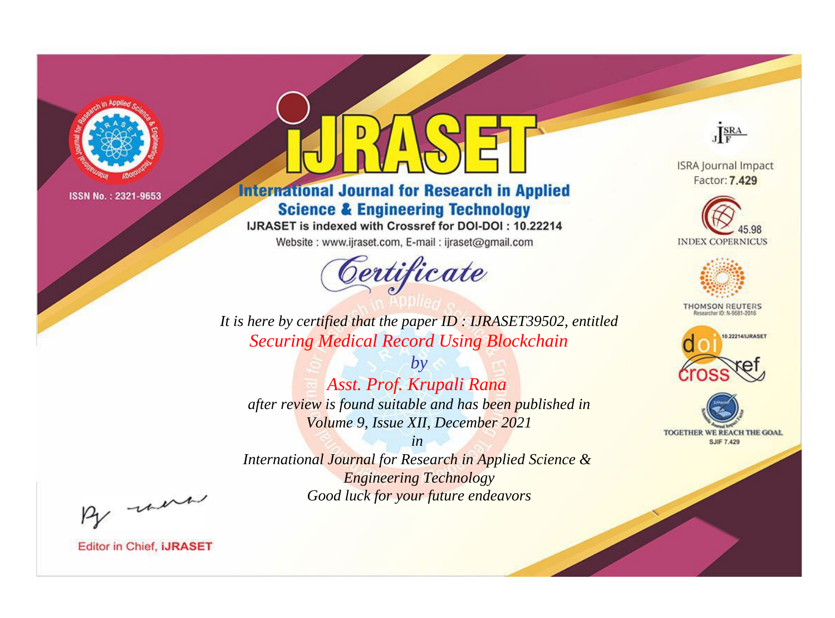

# **International Journal for Research in Applied Science & Engineering Technology**

IJRASET is indexed with Crossref for DOI-DOI: 10.22214

Website: www.ijraset.com, E-mail: ijraset@gmail.com



JERA

**ISRA Journal Impact** Factor: 7.429





**THOMSON REUTERS** 



TOGETHER WE REACH THE GOAL **SJIF 7.429** 

It is here by certified that the paper ID: IJRASET39502, entitled **Securing Medical Record Using Blockchain** 

 $by$ Asst. Prof. Krupali Rana after review is found suitable and has been published in Volume 9, Issue XII, December 2021

 $in$ International Journal for Research in Applied Science & **Engineering Technology** Good luck for your future endeavors

By morn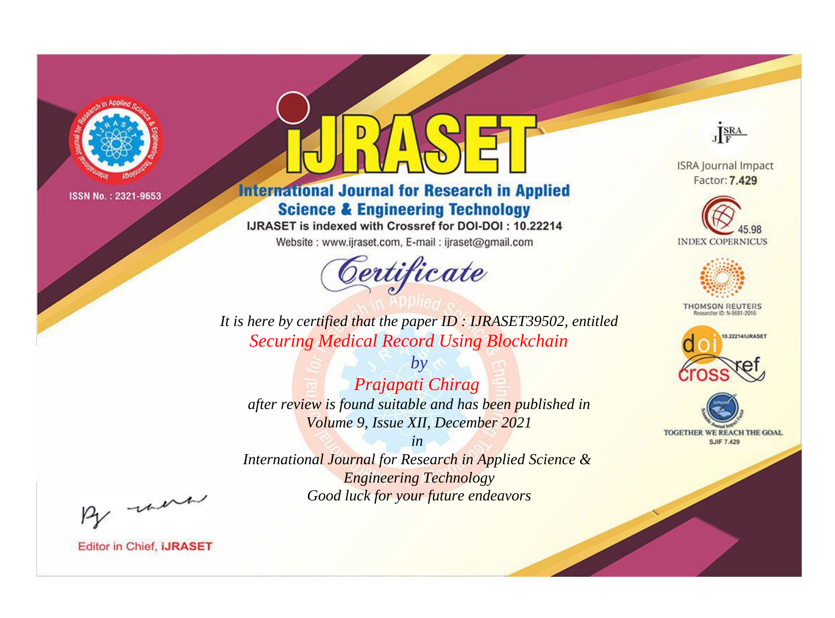

# **International Journal for Research in Applied Science & Engineering Technology**

IJRASET is indexed with Crossref for DOI-DOI: 10.22214

Website: www.ijraset.com, E-mail: ijraset@gmail.com



JERA

**ISRA Journal Impact** Factor: 7.429





**THOMSON REUTERS** 



TOGETHER WE REACH THE GOAL **SJIF 7.429** 

It is here by certified that the paper ID: IJRASET39502, entitled **Securing Medical Record Using Blockchain** 

 $b\nu$ Prajapati Chirag after review is found suitable and has been published in Volume 9, Issue XII, December 2021

 $in$ International Journal for Research in Applied Science & **Engineering Technology** Good luck for your future endeavors

By morn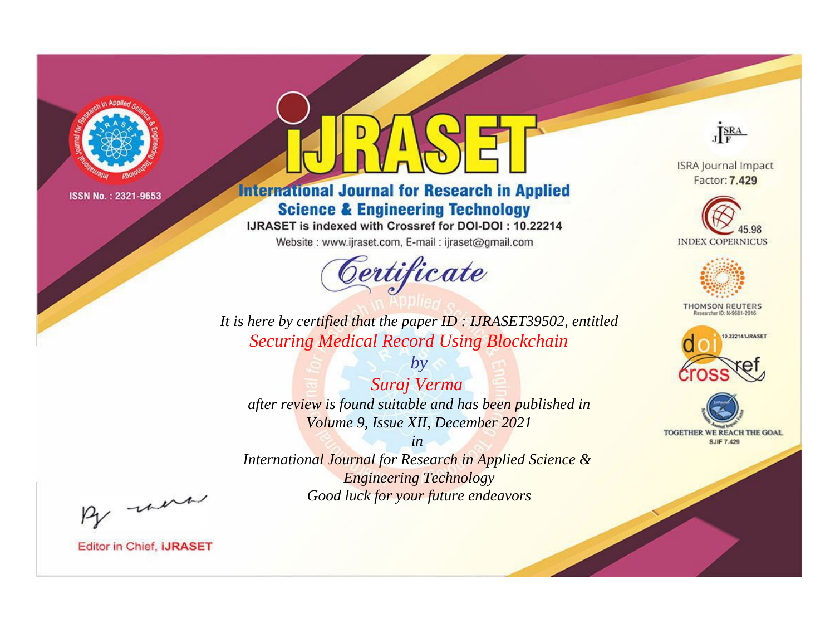

# **International Journal for Research in Applied Science & Engineering Technology**

IJRASET is indexed with Crossref for DOI-DOI: 10.22214

Website: www.ijraset.com, E-mail: ijraset@gmail.com



JERA

**ISRA Journal Impact** Factor: 7.429





**THOMSON REUTERS** 



TOGETHER WE REACH THE GOAL **SJIF 7.429** 

It is here by certified that the paper ID: IJRASET39502, entitled **Securing Medical Record Using Blockchain** 

 $by$ Suraj Verma after review is found suitable and has been published in Volume 9, Issue XII, December 2021

 $in$ International Journal for Research in Applied Science & **Engineering Technology** Good luck for your future endeavors

By morn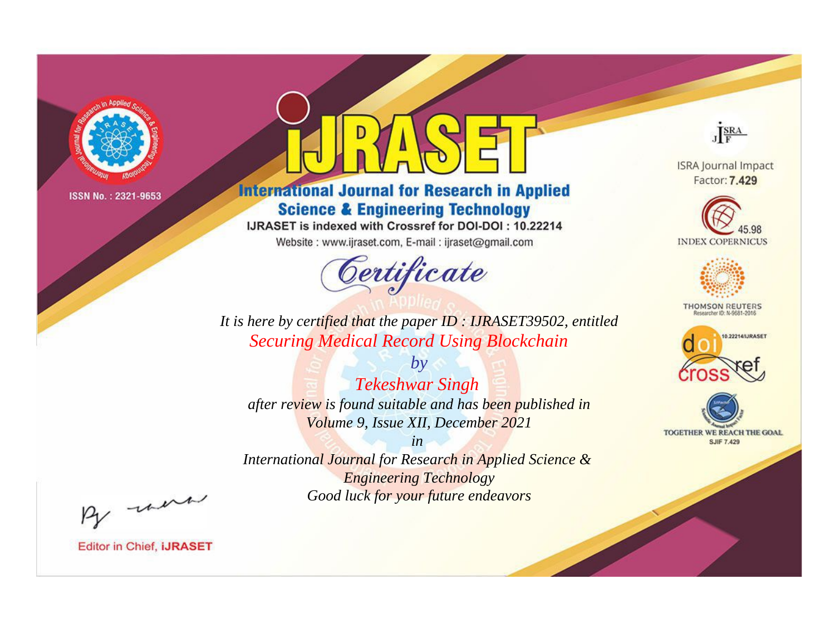

# **International Journal for Research in Applied Science & Engineering Technology**

IJRASET is indexed with Crossref for DOI-DOI: 10.22214

Website: www.ijraset.com, E-mail: ijraset@gmail.com



JERA

**ISRA Journal Impact** Factor: 7.429





**THOMSON REUTERS** 



TOGETHER WE REACH THE GOAL **SJIF 7.429** 

It is here by certified that the paper ID: IJRASET39502, entitled **Securing Medical Record Using Blockchain** 

 $by$ **Tekeshwar Singh** after review is found suitable and has been published in Volume 9, Issue XII, December 2021

 $in$ International Journal for Research in Applied Science & **Engineering Technology** Good luck for your future endeavors

By morn